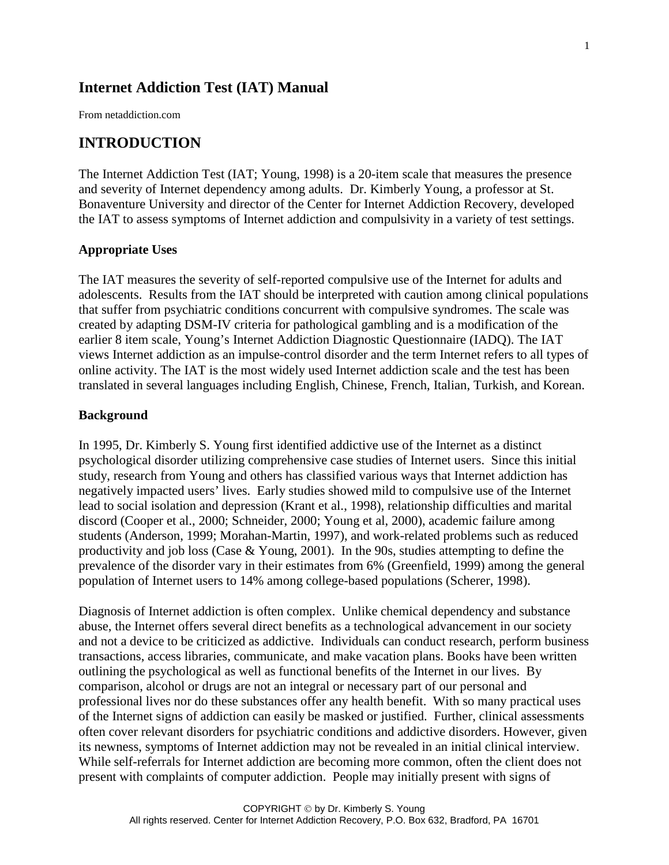# **Internet Addiction Test (IAT) Manual**

From netaddiction.com

# **INTRODUCTION**

The Internet Addiction Test (IAT; Young, 1998) is a 20-item scale that measures the presence and severity of Internet dependency among adults. Dr. Kimberly Young, a professor at St. Bonaventure University and director of the Center for Internet Addiction Recovery, developed the IAT to assess symptoms of Internet addiction and compulsivity in a variety of test settings.

#### **Appropriate Uses**

The IAT measures the severity of self-reported compulsive use of the Internet for adults and adolescents. Results from the IAT should be interpreted with caution among clinical populations that suffer from psychiatric conditions concurrent with compulsive syndromes. The scale was created by adapting DSM-IV criteria for pathological gambling and is a modification of the earlier 8 item scale, Young's Internet Addiction Diagnostic Questionnaire (IADQ). The IAT views Internet addiction as an impulse-control disorder and the term Internet refers to all types of online activity. The IAT is the most widely used Internet addiction scale and the test has been translated in several languages including English, Chinese, French, Italian, Turkish, and Korean.

#### **Background**

In 1995, Dr. Kimberly S. Young first identified addictive use of the Internet as a distinct psychological disorder utilizing comprehensive case studies of Internet users. Since this initial study, research from Young and others has classified various ways that Internet addiction has negatively impacted users' lives. Early studies showed mild to compulsive use of the Internet lead to social isolation and depression (Krant et al., 1998), relationship difficulties and marital discord (Cooper et al., 2000; Schneider, 2000; Young et al, 2000), academic failure among students (Anderson, 1999; Morahan-Martin, 1997), and work-related problems such as reduced productivity and job loss (Case & Young, 2001). In the 90s, studies attempting to define the prevalence of the disorder vary in their estimates from 6% (Greenfield, 1999) among the general population of Internet users to 14% among college-based populations (Scherer, 1998).

Diagnosis of Internet addiction is often complex. Unlike chemical dependency and substance abuse, the Internet offers several direct benefits as a technological advancement in our society and not a device to be criticized as addictive. Individuals can conduct research, perform business transactions, access libraries, communicate, and make vacation plans. Books have been written outlining the psychological as well as functional benefits of the Internet in our lives. By comparison, alcohol or drugs are not an integral or necessary part of our personal and professional lives nor do these substances offer any health benefit. With so many practical uses of the Internet signs of addiction can easily be masked or justified. Further, clinical assessments often cover relevant disorders for psychiatric conditions and addictive disorders. However, given its newness, symptoms of Internet addiction may not be revealed in an initial clinical interview. While self-referrals for Internet addiction are becoming more common, often the client does not present with complaints of computer addiction. People may initially present with signs of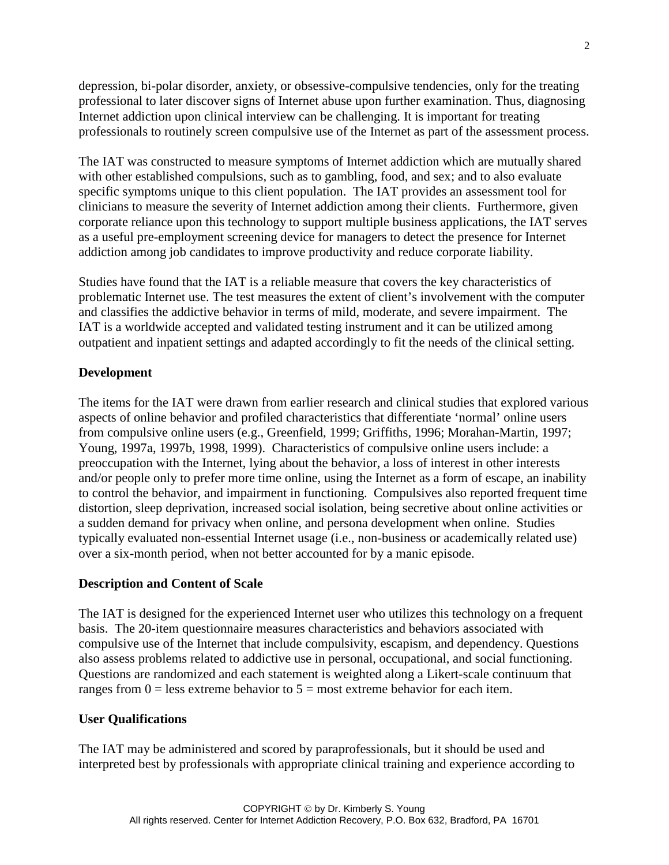depression, bi-polar disorder, anxiety, or obsessive-compulsive tendencies, only for the treating professional to later discover signs of Internet abuse upon further examination. Thus, diagnosing Internet addiction upon clinical interview can be challenging. It is important for treating professionals to routinely screen compulsive use of the Internet as part of the assessment process.

The IAT was constructed to measure symptoms of Internet addiction which are mutually shared with other established compulsions, such as to gambling, food, and sex; and to also evaluate specific symptoms unique to this client population. The IAT provides an assessment tool for clinicians to measure the severity of Internet addiction among their clients. Furthermore, given corporate reliance upon this technology to support multiple business applications, the IAT serves as a useful pre-employment screening device for managers to detect the presence for Internet addiction among job candidates to improve productivity and reduce corporate liability.

Studies have found that the IAT is a reliable measure that covers the key characteristics of problematic Internet use. The test measures the extent of client's involvement with the computer and classifies the addictive behavior in terms of mild, moderate, and severe impairment. The IAT is a worldwide accepted and validated testing instrument and it can be utilized among outpatient and inpatient settings and adapted accordingly to fit the needs of the clinical setting.

### **Development**

The items for the IAT were drawn from earlier research and clinical studies that explored various aspects of online behavior and profiled characteristics that differentiate 'normal' online users from compulsive online users (e.g., Greenfield, 1999; Griffiths, 1996; Morahan-Martin, 1997; Young, 1997a, 1997b, 1998, 1999). Characteristics of compulsive online users include: a preoccupation with the Internet, lying about the behavior, a loss of interest in other interests and/or people only to prefer more time online, using the Internet as a form of escape, an inability to control the behavior, and impairment in functioning. Compulsives also reported frequent time distortion, sleep deprivation, increased social isolation, being secretive about online activities or a sudden demand for privacy when online, and persona development when online. Studies typically evaluated non-essential Internet usage (i.e., non-business or academically related use) over a six-month period, when not better accounted for by a manic episode.

#### **Description and Content of Scale**

The IAT is designed for the experienced Internet user who utilizes this technology on a frequent basis. The 20-item questionnaire measures characteristics and behaviors associated with compulsive use of the Internet that include compulsivity, escapism, and dependency. Questions also assess problems related to addictive use in personal, occupational, and social functioning. Questions are randomized and each statement is weighted along a Likert-scale continuum that ranges from  $0 =$  less extreme behavior to  $5 =$  most extreme behavior for each item.

#### **User Qualifications**

The IAT may be administered and scored by paraprofessionals, but it should be used and interpreted best by professionals with appropriate clinical training and experience according to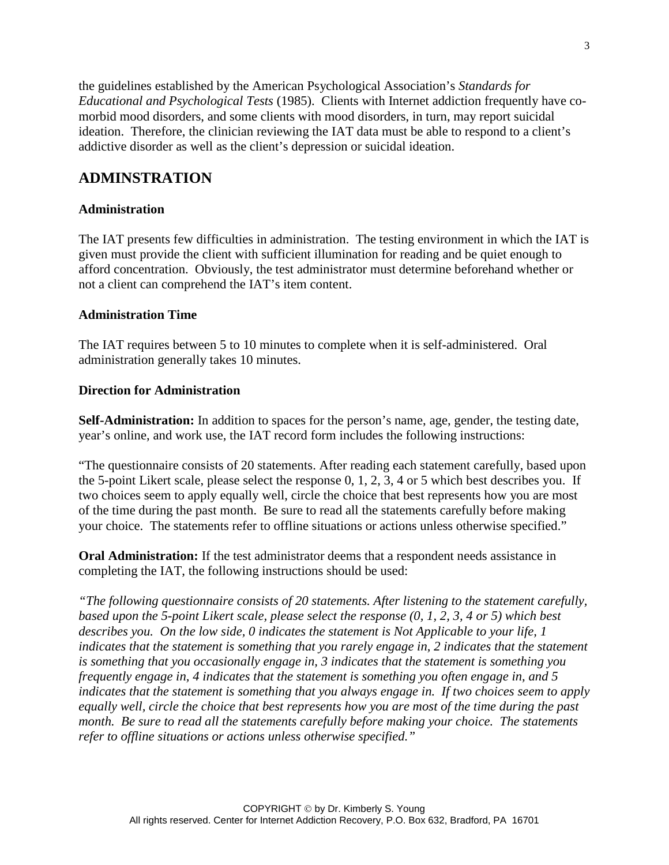the guidelines established by the American Psychological Association's *Standards for Educational and Psychological Tests* (1985). Clients with Internet addiction frequently have comorbid mood disorders, and some clients with mood disorders, in turn, may report suicidal ideation. Therefore, the clinician reviewing the IAT data must be able to respond to a client's addictive disorder as well as the client's depression or suicidal ideation.

# **ADMINSTRATION**

### **Administration**

The IAT presents few difficulties in administration. The testing environment in which the IAT is given must provide the client with sufficient illumination for reading and be quiet enough to afford concentration. Obviously, the test administrator must determine beforehand whether or not a client can comprehend the IAT's item content.

### **Administration Time**

The IAT requires between 5 to 10 minutes to complete when it is self-administered. Oral administration generally takes 10 minutes.

### **Direction for Administration**

**Self-Administration:** In addition to spaces for the person's name, age, gender, the testing date, year's online, and work use, the IAT record form includes the following instructions:

"The questionnaire consists of 20 statements. After reading each statement carefully, based upon the 5-point Likert scale, please select the response 0, 1, 2, 3, 4 or 5 which best describes you. If two choices seem to apply equally well, circle the choice that best represents how you are most of the time during the past month. Be sure to read all the statements carefully before making your choice. The statements refer to offline situations or actions unless otherwise specified."

**Oral Administration:** If the test administrator deems that a respondent needs assistance in completing the IAT, the following instructions should be used:

*"The following questionnaire consists of 20 statements. After listening to the statement carefully, based upon the 5-point Likert scale, please select the response (0, 1, 2, 3, 4 or 5) which best describes you. On the low side, 0 indicates the statement is Not Applicable to your life, 1 indicates that the statement is something that you rarely engage in, 2 indicates that the statement is something that you occasionally engage in, 3 indicates that the statement is something you frequently engage in, 4 indicates that the statement is something you often engage in, and 5 indicates that the statement is something that you always engage in. If two choices seem to apply equally well, circle the choice that best represents how you are most of the time during the past month. Be sure to read all the statements carefully before making your choice. The statements refer to offline situations or actions unless otherwise specified."*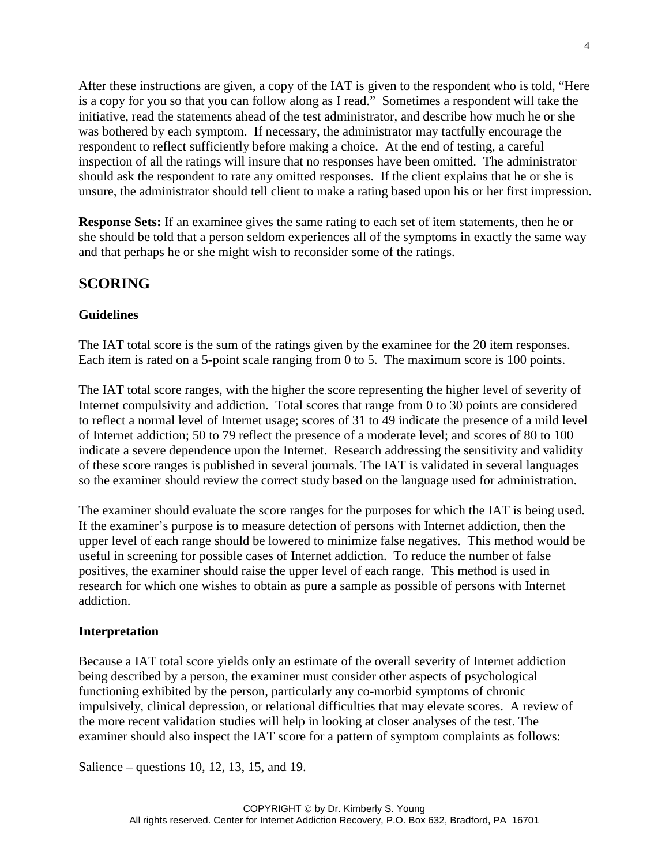After these instructions are given, a copy of the IAT is given to the respondent who is told, "Here is a copy for you so that you can follow along as I read." Sometimes a respondent will take the initiative, read the statements ahead of the test administrator, and describe how much he or she was bothered by each symptom. If necessary, the administrator may tactfully encourage the respondent to reflect sufficiently before making a choice. At the end of testing, a careful inspection of all the ratings will insure that no responses have been omitted. The administrator should ask the respondent to rate any omitted responses. If the client explains that he or she is unsure, the administrator should tell client to make a rating based upon his or her first impression.

**Response Sets:** If an examinee gives the same rating to each set of item statements, then he or she should be told that a person seldom experiences all of the symptoms in exactly the same way and that perhaps he or she might wish to reconsider some of the ratings.

# **SCORING**

# **Guidelines**

The IAT total score is the sum of the ratings given by the examinee for the 20 item responses. Each item is rated on a 5-point scale ranging from 0 to 5. The maximum score is 100 points.

The IAT total score ranges, with the higher the score representing the higher level of severity of Internet compulsivity and addiction. Total scores that range from 0 to 30 points are considered to reflect a normal level of Internet usage; scores of 31 to 49 indicate the presence of a mild level of Internet addiction; 50 to 79 reflect the presence of a moderate level; and scores of 80 to 100 indicate a severe dependence upon the Internet. Research addressing the sensitivity and validity of these score ranges is published in several journals. The IAT is validated in several languages so the examiner should review the correct study based on the language used for administration.

The examiner should evaluate the score ranges for the purposes for which the IAT is being used. If the examiner's purpose is to measure detection of persons with Internet addiction, then the upper level of each range should be lowered to minimize false negatives. This method would be useful in screening for possible cases of Internet addiction. To reduce the number of false positives, the examiner should raise the upper level of each range. This method is used in research for which one wishes to obtain as pure a sample as possible of persons with Internet addiction.

## **Interpretation**

Because a IAT total score yields only an estimate of the overall severity of Internet addiction being described by a person, the examiner must consider other aspects of psychological functioning exhibited by the person, particularly any co-morbid symptoms of chronic impulsively, clinical depression, or relational difficulties that may elevate scores. A review of the more recent validation studies will help in looking at closer analyses of the test. The examiner should also inspect the IAT score for a pattern of symptom complaints as follows:

Salience – questions 10, 12, 13, 15, and 19.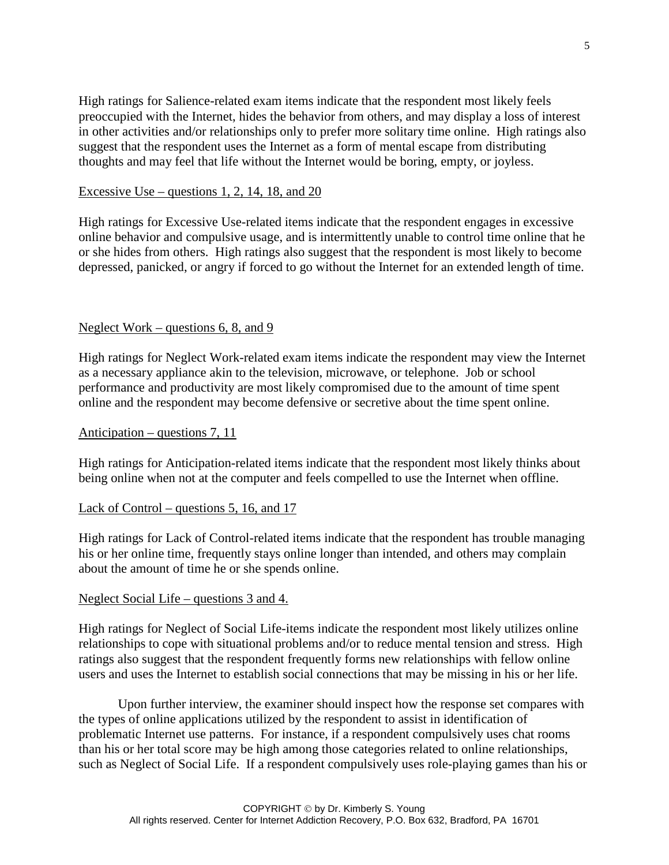High ratings for Salience-related exam items indicate that the respondent most likely feels preoccupied with the Internet, hides the behavior from others, and may display a loss of interest in other activities and/or relationships only to prefer more solitary time online. High ratings also suggest that the respondent uses the Internet as a form of mental escape from distributing thoughts and may feel that life without the Internet would be boring, empty, or joyless.

#### Excessive Use – questions 1, 2, 14, 18, and 20

High ratings for Excessive Use-related items indicate that the respondent engages in excessive online behavior and compulsive usage, and is intermittently unable to control time online that he or she hides from others. High ratings also suggest that the respondent is most likely to become depressed, panicked, or angry if forced to go without the Internet for an extended length of time.

#### Neglect Work – questions 6, 8, and 9

High ratings for Neglect Work-related exam items indicate the respondent may view the Internet as a necessary appliance akin to the television, microwave, or telephone. Job or school performance and productivity are most likely compromised due to the amount of time spent online and the respondent may become defensive or secretive about the time spent online.

#### Anticipation – questions 7, 11

High ratings for Anticipation-related items indicate that the respondent most likely thinks about being online when not at the computer and feels compelled to use the Internet when offline.

#### Lack of Control – questions 5, 16, and 17

High ratings for Lack of Control-related items indicate that the respondent has trouble managing his or her online time, frequently stays online longer than intended, and others may complain about the amount of time he or she spends online.

#### Neglect Social Life – questions 3 and 4.

High ratings for Neglect of Social Life-items indicate the respondent most likely utilizes online relationships to cope with situational problems and/or to reduce mental tension and stress. High ratings also suggest that the respondent frequently forms new relationships with fellow online users and uses the Internet to establish social connections that may be missing in his or her life.

Upon further interview, the examiner should inspect how the response set compares with the types of online applications utilized by the respondent to assist in identification of problematic Internet use patterns. For instance, if a respondent compulsively uses chat rooms than his or her total score may be high among those categories related to online relationships, such as Neglect of Social Life. If a respondent compulsively uses role-playing games than his or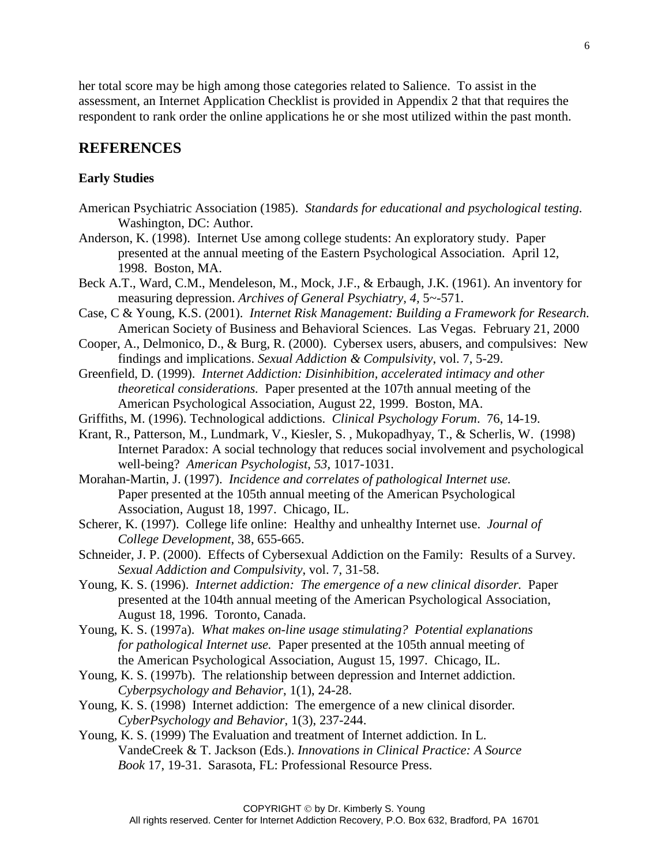her total score may be high among those categories related to Salience. To assist in the assessment, an Internet Application Checklist is provided in Appendix 2 that that requires the respondent to rank order the online applications he or she most utilized within the past month.

# **REFERENCES**

### **Early Studies**

- American Psychiatric Association (1985). *Standards for educational and psychological testing.* Washington, DC: Author.
- Anderson, K. (1998). Internet Use among college students: An exploratory study. Paper presented at the annual meeting of the Eastern Psychological Association. April 12, 1998. Boston, MA.
- Beck A.T., Ward, C.M., Mendeleson, M., Mock, J.F., & Erbaugh, J.K. (1961). An inventory for measuring depression. *Archives of General Psychiatry, 4,* 5~-571.
- Case, C & Young, K.S. (2001). *Internet Risk Management: Building a Framework for Research.* American Society of Business and Behavioral Sciences. Las Vegas. February 21, 2000
- Cooper, A., Delmonico, D., & Burg, R. (2000). Cybersex users, abusers, and compulsives: New findings and implications. *Sexual Addiction & Compulsivity*, vol. 7, 5-29.
- Greenfield, D. (1999). *Internet Addiction: Disinhibition, accelerated intimacy and other theoretical considerations.* Paper presented at the 107th annual meeting of the American Psychological Association, August 22, 1999. Boston, MA.
- Griffiths, M. (1996). Technological addictions. *Clinical Psychology Forum*. 76, 14-19.
- Krant, R., Patterson, M., Lundmark, V., Kiesler, S. , Mukopadhyay, T., & Scherlis, W. (1998) Internet Paradox: A social technology that reduces social involvement and psychological well-being? *American Psychologist*, *53*, 1017-1031.
- Morahan-Martin, J. (1997). *Incidence and correlates of pathological Internet use.* Paper presented at the 105th annual meeting of the American Psychological Association, August 18, 1997. Chicago, IL.
- Scherer, K. (1997). College life online: Healthy and unhealthy Internet use. *Journal of College Development*, 38, 655-665.
- Schneider, J. P. (2000). Effects of Cybersexual Addiction on the Family: Results of a Survey. *Sexual Addiction and Compulsivity*, vol. 7, 31-58.
- Young, K. S. (1996). *Internet addiction: The emergence of a new clinical disorder.* Paper presented at the 104th annual meeting of the American Psychological Association, August 18, 1996. Toronto, Canada.
- Young, K. S. (1997a). *What makes on-line usage stimulating? Potential explanations for pathological Internet use.* Paper presented at the 105th annual meeting of the American Psychological Association, August 15, 1997. Chicago, IL.
- Young, K. S. (1997b). The relationship between depression and Internet addiction. *Cyberpsychology and Behavior*, 1(1), 24-28.
- Young, K. S. (1998) Internet addiction: The emergence of a new clinical disorder*. CyberPsychology and Behavior*, 1(3), 237-244.
- Young, K. S. (1999) The Evaluation and treatment of Internet addiction. In L. VandeCreek & T. Jackson (Eds.). *Innovations in Clinical Practice: A Source Book* 17, 19-31. Sarasota, FL: Professional Resource Press.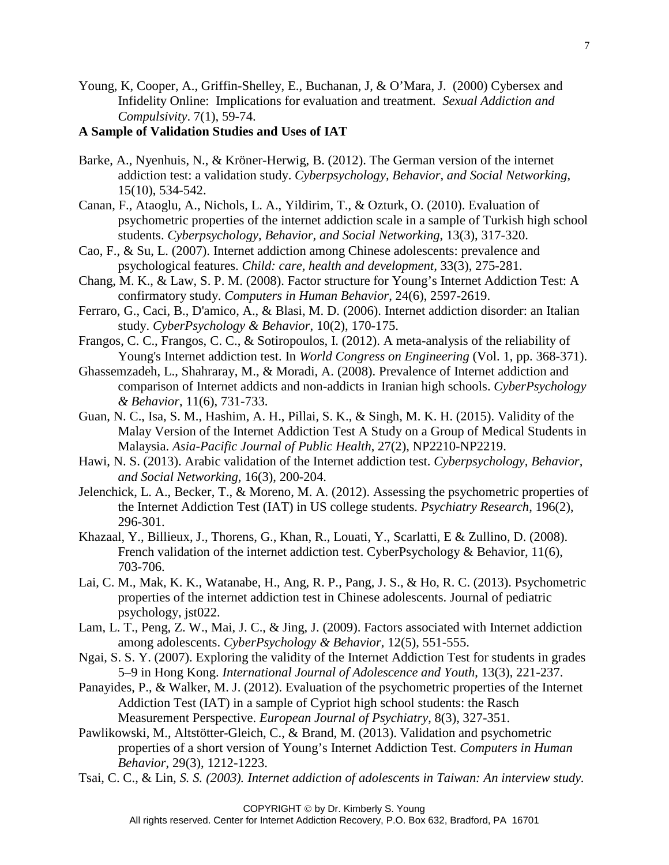Young, K, Cooper, A., Griffin-Shelley, E., Buchanan, J, & O'Mara, J. (2000) Cybersex and Infidelity Online: Implications for evaluation and treatment. *Sexual Addiction and Compulsivity*. 7(1), 59-74.

### **A Sample of Validation Studies and Uses of IAT**

- Barke, A., Nyenhuis, N., & Kröner-Herwig, B. (2012). The German version of the internet addiction test: a validation study. *Cyberpsychology, Behavior, and Social Networking*, 15(10), 534-542.
- Canan, F., Ataoglu, A., Nichols, L. A., Yildirim, T., & Ozturk, O. (2010). Evaluation of psychometric properties of the internet addiction scale in a sample of Turkish high school students. *Cyberpsychology, Behavior, and Social Networking*, 13(3), 317-320.
- Cao, F., & Su, L. (2007). Internet addiction among Chinese adolescents: prevalence and psychological features. *Child: care, health and development,* 33(3), 275-281.
- Chang, M. K., & Law, S. P. M. (2008). Factor structure for Young's Internet Addiction Test: A confirmatory study. *Computers in Human Behavior*, 24(6), 2597-2619.
- Ferraro, G., Caci, B., D'amico, A., & Blasi, M. D. (2006). Internet addiction disorder: an Italian study. *CyberPsychology & Behavior*, 10(2), 170-175.
- Frangos, C. C., Frangos, C. C., & Sotiropoulos, I. (2012). A meta-analysis of the reliability of Young's Internet addiction test. In *World Congress on Engineering* (Vol. 1, pp. 368-371).
- Ghassemzadeh, L., Shahraray, M., & Moradi, A. (2008). Prevalence of Internet addiction and comparison of Internet addicts and non-addicts in Iranian high schools. *CyberPsychology & Behavior*, 11(6), 731-733.
- Guan, N. C., Isa, S. M., Hashim, A. H., Pillai, S. K., & Singh, M. K. H. (2015). Validity of the Malay Version of the Internet Addiction Test A Study on a Group of Medical Students in Malaysia. *Asia-Pacific Journal of Public Health*, 27(2), NP2210-NP2219.
- Hawi, N. S. (2013). Arabic validation of the Internet addiction test. *Cyberpsychology, Behavior, and Social Networking*, 16(3), 200-204.
- Jelenchick, L. A., Becker, T., & Moreno, M. A. (2012). Assessing the psychometric properties of the Internet Addiction Test (IAT) in US college students. *Psychiatry Research*, 196(2), 296-301.
- Khazaal, Y., Billieux, J., Thorens, G., Khan, R., Louati, Y., Scarlatti, E & Zullino, D. (2008). French validation of the internet addiction test. CyberPsychology & Behavior, 11(6), 703-706.
- Lai, C. M., Mak, K. K., Watanabe, H., Ang, R. P., Pang, J. S., & Ho, R. C. (2013). Psychometric properties of the internet addiction test in Chinese adolescents. Journal of pediatric psychology, jst022.
- Lam, L. T., Peng, Z. W., Mai, J. C., & Jing, J. (2009). Factors associated with Internet addiction among adolescents. *CyberPsychology & Behavior*, 12(5), 551-555.
- Ngai, S. S. Y. (2007). Exploring the validity of the Internet Addiction Test for students in grades 5–9 in Hong Kong. *International Journal of Adolescence and Youth*, 13(3), 221-237.
- Panayides, P., & Walker, M. J. (2012). Evaluation of the psychometric properties of the Internet Addiction Test (IAT) in a sample of Cypriot high school students: the Rasch Measurement Perspective. *European Journal of Psychiatry*, 8(3), 327-351.
- Pawlikowski, M., Altstötter-Gleich, C., & Brand, M. (2013). Validation and psychometric properties of a short version of Young's Internet Addiction Test. *Computers in Human Behavior*, 29(3), 1212-1223.
- Tsai, C. C., & Lin*, S. S. (2003). Internet addiction of adolescents in Taiwan: An interview study.*

7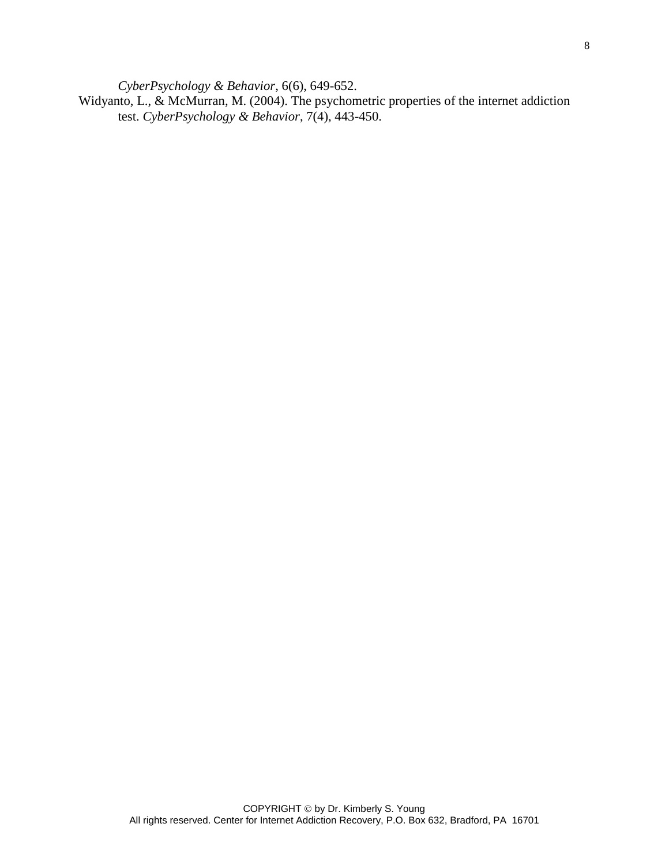*CyberPsychology & Behavior*, 6(6), 649-652.

Widyanto, L., & McMurran, M. (2004). The psychometric properties of the internet addiction test. *CyberPsychology & Behavior*, 7(4), 443-450.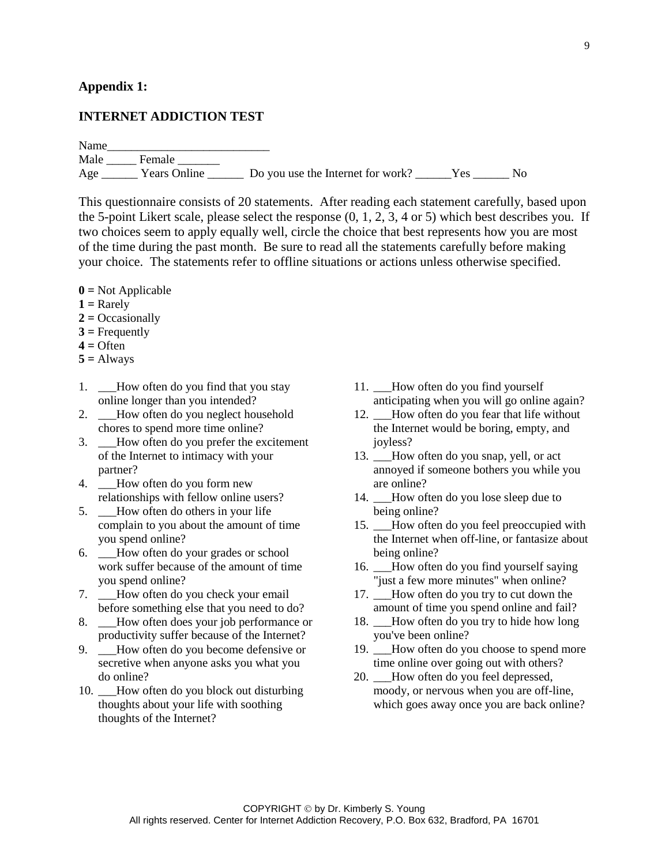#### **Appendix 1:**

#### **INTERNET ADDICTION TEST**

Name

Male \_\_\_\_\_\_\_\_ Female \_\_\_\_\_\_\_\_ Age \_\_\_\_\_\_\_ Years Online \_\_\_\_\_\_\_ Do you use the Internet for work? \_\_\_\_\_\_Yes \_\_\_\_\_\_ No

This questionnaire consists of 20 statements. After reading each statement carefully, based upon the 5-point Likert scale, please select the response  $(0, 1, 2, 3, 4 \text{ or } 5)$  which best describes you. If two choices seem to apply equally well, circle the choice that best represents how you are most of the time during the past month. Be sure to read all the statements carefully before making your choice. The statements refer to offline situations or actions unless otherwise specified.

- **0 =** Not Applicable
- **1 =** Rarely
- **2 =** Occasionally
- **3 =** Frequently
- **4 =** Often
- $5 =$  Always
- 1. \_\_\_How often do you find that you stay online longer than you intended?
- 2. How often do you neglect household chores to spend more time online?
- 3. \_\_\_How often do you prefer the excitement of the Internet to intimacy with your partner?
- 4. How often do you form new relationships with fellow online users?
- 5. How often do others in your life complain to you about the amount of time you spend online?
- 6. \_\_\_How often do your grades or school work suffer because of the amount of time you spend online?
- 7. \_\_\_How often do you check your email before something else that you need to do?
- 8. How often does your job performance or productivity suffer because of the Internet?
- 9. \_\_\_How often do you become defensive or secretive when anyone asks you what you do online?
- 10. \_\_\_How often do you block out disturbing thoughts about your life with soothing thoughts of the Internet?
- 11. How often do you find yourself anticipating when you will go online again?
- 12. How often do you fear that life without the Internet would be boring, empty, and joyless?
- 13. \_\_How often do you snap, yell, or act annoyed if someone bothers you while you are online?
- 14. \_\_How often do you lose sleep due to being online?
- 15. How often do you feel preoccupied with the Internet when off-line, or fantasize about being online?
- 16. How often do you find yourself saying "just a few more minutes" when online?
- 17. \_\_How often do you try to cut down the amount of time you spend online and fail?
- 18. How often do you try to hide how long you've been online?
- 19. \_\_\_How often do you choose to spend more time online over going out with others?
- 20. How often do you feel depressed, moody, or nervous when you are off-line, which goes away once you are back online?